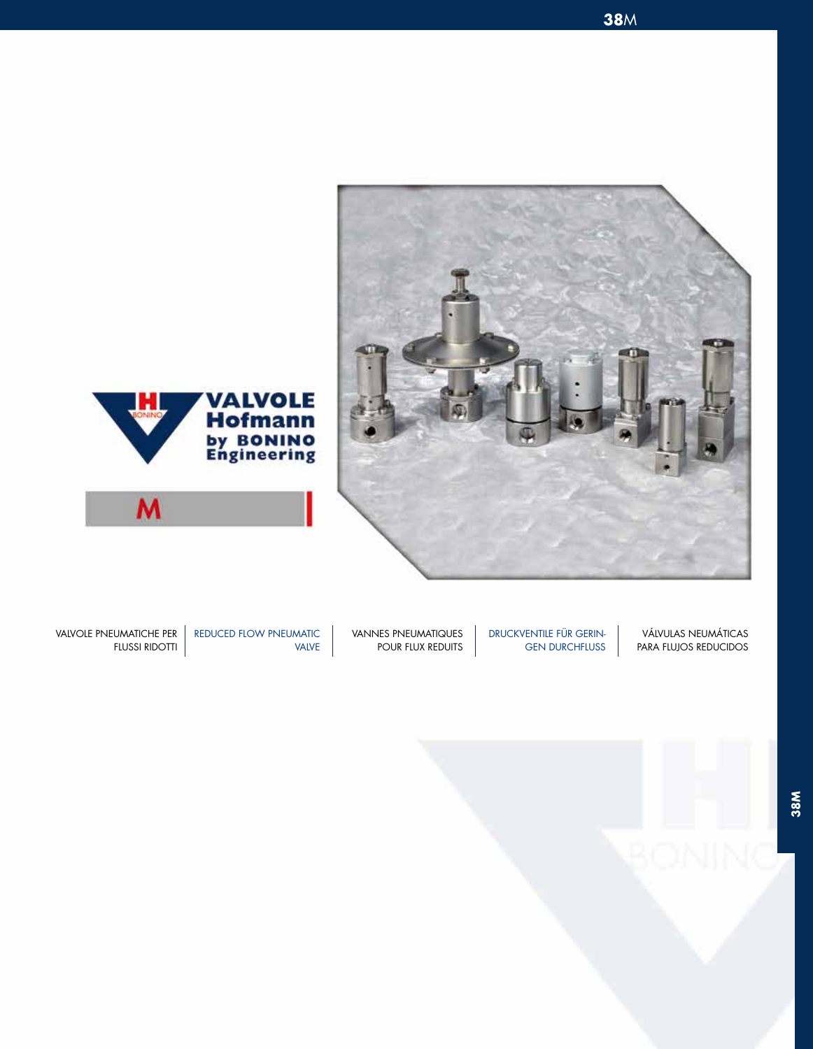





 VÁLVULAS NEUMÁTICAS PARA FLUJOS REDUCIDOS

DRUCKVENTILE FÜR GERIN-GEN DURCHFLUSS

VANNES PNEUMATIQUES POUR FLUX REDUITS

VALVE

VALVOLE PNEUMATICHE PER REDUCED FLOW PNEUMATIC FLUSSI RIDOTTI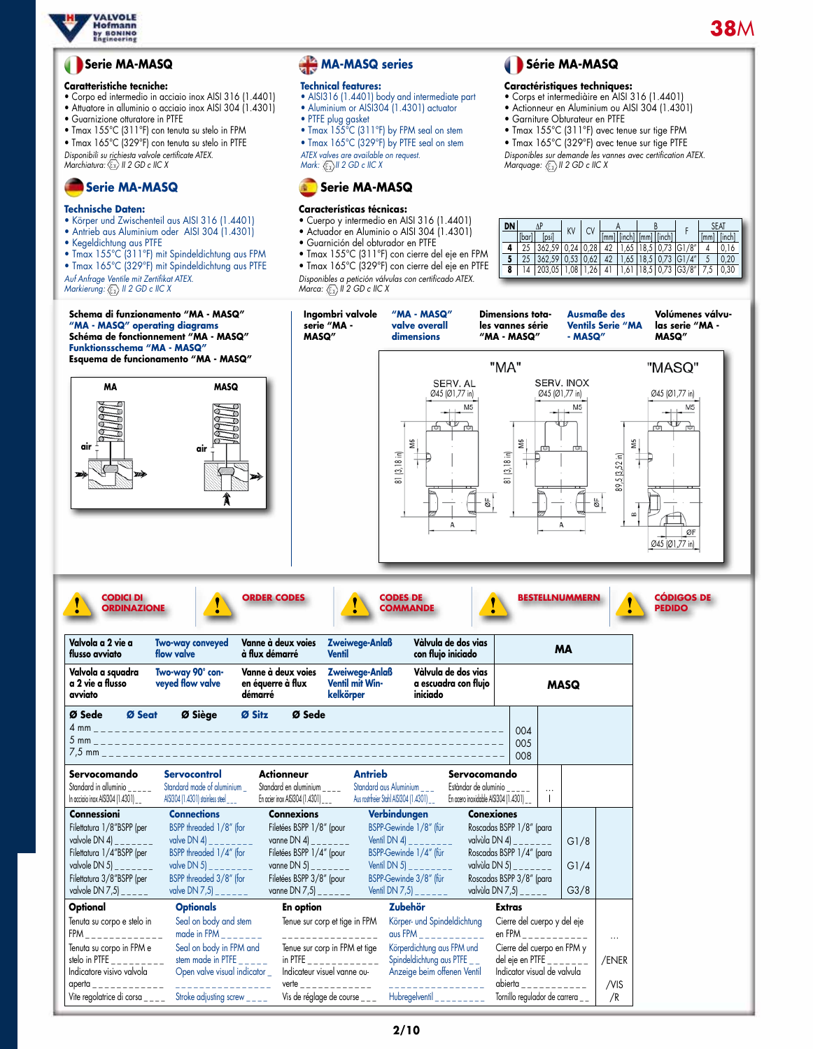

# **38**M

## **Serie MA-MASQ**

#### **Caratteristiche tecniche:**

- Corpo ed intermedio in acciaio inox AISI 316 (1.4401)
- Attuatore in alluminio o acciaio inox AISI 304 (1.4301)
- Guarnizione otturatore in PTFE • Tmax 155°C (311°F) con tenuta su stelo in FPM
- Tmax 165°C (329°F) con tenuta su stelo in PTFE
- 
- *Disponibili su richiesta valvole certificate ATEX. Marchiatura: II 2 GD c IIC X*

# **Serie MA-MASQ**

## **Technische Daten:**

- • Körper und Zwischenteil aus AISI 316 (1.4401)
- Antrieb aus Aluminium oder AISI 304 (1.4301)
- Kegeldichtung aus PTFE
- Tmax 155°C (311°F) mit Spindeldichtung aus FPM
- Tmax 165°C (329°F) mit Spindeldichtung aus PTFE *Auf Anfrage Ventile mit Zertifikat ATEX.*

*Markierung:*  $\langle \overline{\xi_x} \rangle$  *II 2 GD c IIC X* 

# **MA-MASQ series**

### **Technical features:**

- • AISI316 (1.4401) body and intermediate part • Aluminium or AISI304 (1.4301) actuator • PIFE plug gasket
- Imax  $155^{\circ}$ C (311 $^{\circ}$ F) by FPM seal on stem
- Tmax 165°C (329°F) by PTFE seal on stem
- *ATEX valves are available on request. Mark: II 2 GD c IIC X*



### **Características técnicas:**

- • Cuerpo y intermedio en AISI 316 (1.4401)
- Actuador en Aluminio o AISI 304 (1.4301)
- Guarnición del obturador en PTFE
- Tmax 155°C (311°F) con cierre del eje en FPM • Tmax 165°C (329°F) con cierre del eje en PTFE *Disponibles a petición válvulas con certificado ATEX.*

*Marca:*  $\langle \overline{\xi_x} \rangle$  *II 2 GD c IIC X* 

# **Série MA-MASQ**

#### **Caractéristiques techniques:**

- • Corps et intermediàire en AISI 316 (1.4401)
- Actionneur en Aluminium ou AISI 304 (1.4301)
- Garniture Obturateur en PTFE • Tmax 155°C (311°F) avec tenue sur tige FPM
	-

• Tmax 165°C (329°F) avec tenue sur tige PTFE *Disponibles sur demande les vannes avec certification ATEX. Marquage: II 2 GD c IIC X*

| DN |        |                                                                          | KV |  | Cν |  |  |                                                                                         |                                 | <b>SEAT</b> |      |
|----|--------|--------------------------------------------------------------------------|----|--|----|--|--|-----------------------------------------------------------------------------------------|---------------------------------|-------------|------|
|    | "Tbar) | [psi]                                                                    |    |  |    |  |  | $\lceil$ mm $\rceil$ $\lceil$ inch $\rceil$ $\lceil$ mm $\rceil$ $\lceil$ inch $\rceil$ |                                 |             |      |
|    |        | $362,59$ 0.24 0.28                                                       |    |  |    |  |  |                                                                                         | 42   1,65   18,5   0,73   G1/8" |             |      |
|    |        | $362,59$   0,53   0,62   42   1,65   18,5   0,73   G1/4"                 |    |  |    |  |  |                                                                                         |                                 |             | 0.20 |
| 8  |        | 14   203,05   1,08   1,26   41   1,61   18,5   0,73   G3/8"   7,5   0,30 |    |  |    |  |  |                                                                                         |                                 |             |      |

| Schema di funzionamento "MA - MASQ"<br>"MA - MASQ" operating diagrams<br>Schéma de fonctionnement "MA - MASQ"<br>Funktionsschema "MA - MASQ"                                                                                        |                                                                                                                                                                    |                                                                                                                                                                                   | Ingombri valvole<br>serie "MA -<br><b>MASQ"</b>                                                                                                                     | "MA - MASQ"<br>valve overall<br>dimensions                                                                                                   | <b>Dimensions tota-</b><br>les vannes série<br>"MA - MASQ"                                                                                                                                    |                | <b>Ausmaße des</b><br>- MASQ" | <b>Ventils Serie "MA</b>                                  | Volúmenes válvu-<br>las serie "MA -<br>MASQ" |
|-------------------------------------------------------------------------------------------------------------------------------------------------------------------------------------------------------------------------------------|--------------------------------------------------------------------------------------------------------------------------------------------------------------------|-----------------------------------------------------------------------------------------------------------------------------------------------------------------------------------|---------------------------------------------------------------------------------------------------------------------------------------------------------------------|----------------------------------------------------------------------------------------------------------------------------------------------|-----------------------------------------------------------------------------------------------------------------------------------------------------------------------------------------------|----------------|-------------------------------|-----------------------------------------------------------|----------------------------------------------|
|                                                                                                                                                                                                                                     | <b>Esquema de funcionamento "MA - MASQ"</b>                                                                                                                        |                                                                                                                                                                                   |                                                                                                                                                                     |                                                                                                                                              | "MA"                                                                                                                                                                                          |                |                               |                                                           | "MASQ"                                       |
| MA<br>air                                                                                                                                                                                                                           | <b>MASQ</b><br>air                                                                                                                                                 |                                                                                                                                                                                   |                                                                                                                                                                     | SERV. AL<br>Ø45 (Ø1,77 in)<br>M5<br>ŠN<br>(3, 18 in)<br>$\overline{\infty}$<br>Α                                                             | SW<br>$(3, 18 \text{ in})$<br>$\overline{\infty}$<br>$\frac{1}{2}$                                                                                                                            | Ø45 (Ø1,77 in) | SERV. INOX<br>M5<br>క¦<br>Α   | SW<br>89,5 [3,52 in]<br>$\boldsymbol{\underline{\omega}}$ | Ø45 (Ø1,77 in)<br>M5<br>ØF<br>Ø45 (Ø1,77 in) |
| <b>CODICI DI</b><br><b>ORDINAZIONE</b><br>Valvola a 2 vie a                                                                                                                                                                         |                                                                                                                                                                    | <b>ORDER CODES</b>                                                                                                                                                                |                                                                                                                                                                     | <b>CODES DE</b><br><b>COMMANDE</b><br>Vàlvula de dos vias                                                                                    |                                                                                                                                                                                               |                | <b>BESTELLNUMMERN</b>         |                                                           | <b>CÓDIGOS DE</b><br><b>PEDIDO</b>           |
| flusso avviato                                                                                                                                                                                                                      | <b>Two-way conveyed</b><br>flow valve                                                                                                                              | Vanne à deux voies<br>à flux démarré                                                                                                                                              | Zweiwege-Anlaß<br><b>Ventil</b>                                                                                                                                     | con flujo iniciado                                                                                                                           |                                                                                                                                                                                               |                | <b>MA</b>                     |                                                           |                                              |
| Valvola a squadra<br>a 2 vie a flusso<br>avviato                                                                                                                                                                                    | Two-way 90° con-<br>veyed flow valve                                                                                                                               | Vanne à deux voies<br>en équerre à flux<br>démarré                                                                                                                                | Zweiwege-Anlaß<br>Ventil mit Win-<br>kelkörper                                                                                                                      | Vàlvula de dos vias<br>a escuadra con flujo<br>iniciado                                                                                      |                                                                                                                                                                                               |                | <b>MASQ</b>                   |                                                           |                                              |
| Ø Seat<br>Ø Sede                                                                                                                                                                                                                    | Ø Siège                                                                                                                                                            | Ø Sitz<br>Ø Sede                                                                                                                                                                  |                                                                                                                                                                     |                                                                                                                                              | 004<br>005<br>008                                                                                                                                                                             |                |                               |                                                           |                                              |
| Servocomando<br>Standard in alluminio $\frac{1}{2}$<br>In acciaio inox AISI304 (1.4301) __                                                                                                                                          | <b>Servocontrol</b><br>Standard made of aluminium<br>AISI304 (1.4301) stainless steel ___                                                                          | <b>Actionneur</b><br>Standard en aluminium $---$<br>En acier inox AISI304 (1.4301) ___                                                                                            | <b>Antrieb</b>                                                                                                                                                      | Standard aus Aluminium _ _ _<br>Aus rostrfreier Stahl AISI304 (1.4301)                                                                       | Servocomando<br>Estàndar de aluminio<br>$- - -$<br>En acero inoxidable AISI304 (1.4301) __                                                                                                    | $\cdots$       |                               |                                                           |                                              |
| <b>Connessioni</b><br>Filettatura 1/8"BSPP (per<br>valvole DN 4) $_{-}$<br>$- - - -$<br>Filettatura 1/4"BSPP (per<br>valvole DN 5) $_{--}$ .<br>Filettatura 3/8"BSPP (per<br>valvole DN 7,5 $\vert$ $\vert$ $\vert$ $\vert$<br>$ -$ | <b>Connections</b><br>BSPP threaded 1/8" (for<br>valve DN 4) $\_$<br>BSPP threaded 1/4" (for<br>valve DN 5) $_{---}$ .<br>BSPP threaded 3/8" (for<br>valve DN 7,5) | <b>Connexions</b><br>Filetées BSPP 1/8" (pour<br>vanne DN 4) $     -$<br>Filetées BSPP 1/4" (pour<br>vanne DN 5) $    -$<br>Filetées BSPP 3/8" (pour<br>vanne DN 7,5) _ _ _ _ _ _ | Ventil DN 4)                                                                                                                                                        | Verbindungen<br>BSPP-Gewinde 1/8" (für<br>BSPP-Gewinde 1/4" (für<br>Ventil DN 5) $_{-}$<br>BSPP-Gewinde 3/8" (für<br>Ventil DN 7,5) _        | <b>Conexiones</b><br>Roscadas BSPP 1/8" (para<br>valvùla DN 4) _ _<br>Roscadas BSPP 1/4" (para<br>valvùla DN 5) $     -$<br>Roscadas BSPP 3/8" (para<br>valvùla DN 7,5 $\vert$ _ _ _ _ _      | $- - - -$      | G1/8<br>GI/4<br>G3/8          |                                                           |                                              |
| Optional                                                                                                                                                                                                                            | <b>Optionals</b>                                                                                                                                                   | <b>En option</b>                                                                                                                                                                  |                                                                                                                                                                     | <b>Zubehör</b>                                                                                                                               | <b>Extras</b>                                                                                                                                                                                 |                |                               |                                                           |                                              |
| Tenuta su corpo e stelo in<br>$FPM$ <sub>------------</sub><br>Tenuta su corpo in FPM e<br>stelo in PTFE<br>Indicatore visivo valvola<br>aperta<br>Vite regolatrice di corsa $\frac{1}{2}$                                          | Seal on body and stem<br>made in FPM $\frac{1}{2}$<br>Seal on body in FPM and<br>stem made in PTFE<br>Open valve visual indicator _<br>Stroke adjusting screw___   | verte _                                                                                                                                                                           | Tenue sur corp et tige in FPM<br>----------------<br>Tenue sur corp in FPM et tige<br>in PTFE $\_$<br>Indicateur visuel vanne ou-<br>Vis de réglage de course _ _ _ | Körper- und Spindeldichtung<br>Körperdichtung aus FPM und<br>Spindeldichtung aus PTFE __<br>Anzeige beim offenen Ventil<br>Hubregelventil __ | Cierre del cuerpo y del eje<br>en FPM _ _ _ _ _ _ _ _ _ _ _<br>Cierre del cuerpo en FPM y<br>del eje en PTFE _<br>Indicator visual de valvula<br>abierta _<br>Tornillo regulador de carrera _ |                |                               | $\ldots$<br>/ENER<br>/VIS<br>/R                           |                                              |
|                                                                                                                                                                                                                                     |                                                                                                                                                                    |                                                                                                                                                                                   |                                                                                                                                                                     |                                                                                                                                              |                                                                                                                                                                                               |                |                               |                                                           |                                              |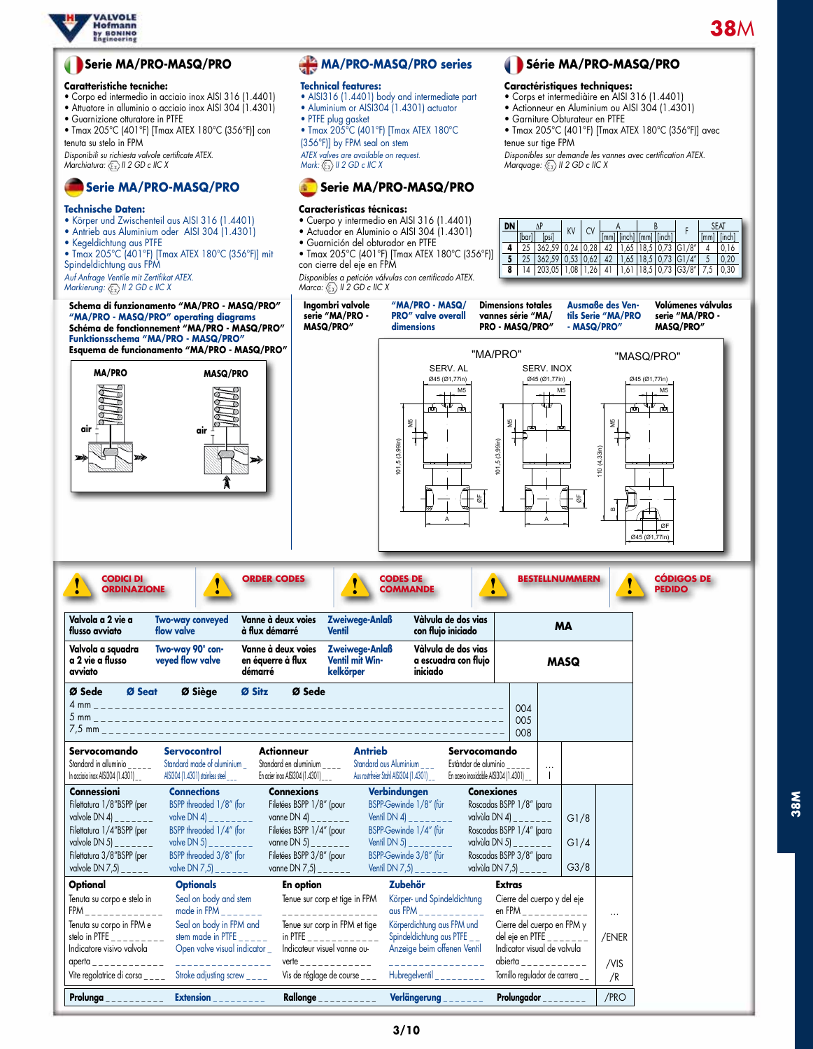

## **Serie MA/PRO-MASQ/PRO**

#### **Caratteristiche tecniche:**

- Corpo ed intermedio in acciaio inox AISI 316 (1.4401)
- Attuatore in alluminio o acciaio inox AISI 304 (1.4301)
- Guarnizione otturatore in PTFE • Tmax 205°C (401°F) [Tmax ATEX 180°C (356°F)] con
- tenuta su stelo in FPM

*Disponibili su richiesta valvole certificate ATEX. Marchiatura: II 2 GD c IIC X*

# **Serie MA/PRO-MASQ/PRO**

### **Technische Daten:**

- • Körper und Zwischenteil aus AISI 316 (1.4401)
- Antrieb aus Aluminium oder AISI 304 (1.4301)
- Kegeldichtung aus PTFE • Tmax 205°C (401°F) [Tmax ATEX 180°C (356°F)] mit
- Spindeldichtung aus FPM

*Auf Anfrage Ventile mit Zertifikat ATEX. Markierung: II 2 GD c IIC X*

#### **Schema di funzionamento "MA/PRO - MASQ/PRO" "MA/PRO - MASQ/PRO" operating diagrams Schéma de fonctionnement "MA/PRO - MASQ/PRO" Funktionsschema "MA/PRO - MASQ/PRO" Esquema de funcionamento "MA/PRO - MASQ/PRO"**



# **MA/PRO-MASQ/PRO series**

#### **Technical features:**

- • AISI316 (1.4401) body and intermediate part • Aluminium or AISI304 (1.4301) actuator
- PIFE plug gasket
- Tmax 205°C (401°F) [Tmax ATEX 180°C

(356°F)] by FPM seal on stem *ATEX valves are available on request. Mark: II 2 GD c IIC X*

# **Serie MA/PRO-MASQ/PRO**

#### **Características técnicas:**

- • Cuerpo y intermedio en AISI 316 (1.4401)
- Actuador en Aluminio o AISI 304 (1.4301)
- Guarnición del obturador en PTFE • Tmax 205°C (401°F) [Tmax ATEX 180°C (356°F)]
- con cierre del eje en FPM

101,5 (3,99in)

101.5 (3.99in)

*Disponibles a petición válvulas con certificado ATEX. Marca: II 2 GD c IIC X*

**Ingombri valvole** 

**serie "MA/PRO - MASQ/PRO"**

**"MA/PRO - MASQ/ PRO" valve overall** 



**Ausmaße des Ventils Serie "MA/PRO Volúmenes válvulas serie "MA/PRO -** 

Ø45 (Ø1,77in)



**Série MA/PRO-MASQ/PRO** 

• Corps et intermediàire en AISI 316 (1.4401) • Actionneur en Aluminium ou AISI 304 (1.4301)

• Tmax 205°C (401°F) [Tmax ATEX 180°C (356°F)] avec

 $\frac{\Delta P}{\left| \frac{1}{n+1} \right| \left| \frac{1}{n+1} \right|}$  KV CV  $\frac{A}{\left| \frac{1}{n+1} \right| \left| \frac{1}{n+1} \right| \left| \frac{1}{n+1} \right|}$  F  $\frac{\Delta E A}{\left| \frac{1}{n+1} \right| \left| \frac{1}{n+1} \right|}$ [psi] KV | CV [[mm] [inch] [mm] [inch] F [[mm] [inch] **4** 25 362,59 0,24 0,28 42 1,65 18,5 0,73 G1/8" 4 0,16 **5** 25 362,59 0,53 0,62 42 1,65 18,5 0,73 G1/4" 5 0,20 **8** 14 203,05 1,08 1,26 41 1,61 18,5 0,73 G3/8" 7,5 0,30

*Disponibles sur demande les vannes avec certification ATEX. Marquage: II 2 GD c IIC X*

**Caractéristiques techniques:**

• Garniture Obturateur en PTFE

tenue sur tige FPM

| <b>CODICI DI</b><br><b>ORDINAZIONE</b>                                                                                                                                                                                                                                              |                                                                                                                                                                                                                                                                                                                                                                                                     | <b>ORDER CODES</b>                                                                                                                                                                             |                                                                                                                         | <b>CODES DE</b><br><b>COMMANDE</b>                                                                                                                                                                                                                               |                                                                                                                                                                                    |                                                                                                                                                                                                                                        | <b>BESTELLNUMMERN</b>            |                                 |
|-------------------------------------------------------------------------------------------------------------------------------------------------------------------------------------------------------------------------------------------------------------------------------------|-----------------------------------------------------------------------------------------------------------------------------------------------------------------------------------------------------------------------------------------------------------------------------------------------------------------------------------------------------------------------------------------------------|------------------------------------------------------------------------------------------------------------------------------------------------------------------------------------------------|-------------------------------------------------------------------------------------------------------------------------|------------------------------------------------------------------------------------------------------------------------------------------------------------------------------------------------------------------------------------------------------------------|------------------------------------------------------------------------------------------------------------------------------------------------------------------------------------|----------------------------------------------------------------------------------------------------------------------------------------------------------------------------------------------------------------------------------------|----------------------------------|---------------------------------|
| Valvola a 2 vie a<br>flusso avviato                                                                                                                                                                                                                                                 | <b>Two-way conveyed</b><br>flow valve                                                                                                                                                                                                                                                                                                                                                               | Vanne à deux voies<br>à flux démarré                                                                                                                                                           | Zweiwege-Anlaß<br><b>Ventil</b>                                                                                         | Vàlvula de dos vias<br>con flujo iniciado                                                                                                                                                                                                                        |                                                                                                                                                                                    |                                                                                                                                                                                                                                        | <b>MA</b>                        |                                 |
| Valvola a squadra<br>a 2 vie a flusso<br>avviato                                                                                                                                                                                                                                    | Two-way 90° con-<br>veyed flow valve                                                                                                                                                                                                                                                                                                                                                                | Vanne à deux voies<br>en équerre à flux<br>démarré                                                                                                                                             | Zweiwege-Anlaß<br>Ventil mit Win-<br>kelkörper                                                                          | Vàlvula de dos vias<br>a escuadra con flujo<br>iniciado                                                                                                                                                                                                          |                                                                                                                                                                                    |                                                                                                                                                                                                                                        | <b>MASQ</b>                      |                                 |
| Ø Seat<br>Ø Sede                                                                                                                                                                                                                                                                    | Ø Siège                                                                                                                                                                                                                                                                                                                                                                                             | Ø Sede<br>Ø Sitz                                                                                                                                                                               |                                                                                                                         |                                                                                                                                                                                                                                                                  |                                                                                                                                                                                    | 004<br>005<br>008                                                                                                                                                                                                                      |                                  |                                 |
| Servocomando<br>Standard in alluminio $\frac{1}{1}$<br>In acciaio inox AISI304 (1.4301) _ _                                                                                                                                                                                         | Servocontrol<br>Standard made of aluminium<br>AISI304 (1.4301) stainless steel ___                                                                                                                                                                                                                                                                                                                  | <b>Actionneur</b><br>Standard en aluminium $\frac{1}{1}$ Standard aus Aluminium $\frac{1}{1}$<br>En acier inox AISI304 (1.4301) _ _ _ Aus rostrfreier Stahl AISI304 (1.4301) _ _               | <b>Antrieb</b>                                                                                                          |                                                                                                                                                                                                                                                                  | Servocomando<br>Estàndar de aluminio $\frac{1}{1}$<br>En acero inoxidable AISI304 (1.4301) __                                                                                      |                                                                                                                                                                                                                                        |                                  |                                 |
| <b>Connessioni</b><br>Filettatura 1/8"BSPP (per<br>valvole DN 4) $     -$<br>Filettatura 1/4"BSPP (per<br>valvole DN 5) $    -$<br>Filettatura 3/8"BSPP (per<br>valvole DN 7,5 $\vert$ _____                                                                                        | <b>Connections</b><br>BSPP threaded 1/8" (for<br>valve DN 4) and the contract of the contract of the contract of the contract of the contract of the contract of the contract of the contract of the contract of the contract of the contract of the contract of the contract o<br>BSPP threaded 1/4" (for<br>valve DN 5 $\vert$ _ _ _ _ _ _ _ _<br>BSPP threaded 3/8" (for<br>valve DN 7,5) ______ | <b>Connexions</b><br>Filetées BSPP 1/8" (pour<br>vanne DN 4) $     -$<br>Filetées BSPP 1/4" (pour<br>vanne DN 5) _ _ _ _ _ _ _<br>Filetées BSPP 3/8" (pour<br>vanne DN 7,5 $\vert$ _ _ _ _ _ _ |                                                                                                                         | Verbindungen<br>BSPP-Gewinde 1/8" (für<br>Ventil DN 4)<br>BSPP-Gewinde 1/4" (für<br>Ventil DN 5) $      -$<br>BSPP-Gewinde 3/8" (für<br>Ventil DN $7,5$ $\frac{1}{2}$ $\frac{1}{2}$ $\frac{1}{2}$ $\frac{1}{2}$                                                  | <b>Conexiones</b><br>Roscadas BSPP 1/8" (para<br>valvùla DN 4) $     -$<br>Roscadas BSPP 1/4" (para<br>valvùla DN 5) $    -$<br>Roscadas BSPP 3/8" (para<br>valvùla DN 7,5) $   -$ |                                                                                                                                                                                                                                        | G1/8<br>G1/4<br>G <sub>3/8</sub> |                                 |
| Optional<br>Tenuta su corpo e stelo in<br>$FPM$ <sub>------------</sub><br>Tenuta su corpo in FPM e<br>stelo in PTFE $\frac{1}{2}$<br>Indicatore visivo valvola<br>$aperta$ _ _ _ _ _ _ _ _ _ _ _ _<br>Vite regolatrice di corsa $\frac{1}{2}$ Stroke adjusting screw $\frac{1}{2}$ | <b>Optionals</b><br>Seal on body and stem<br>made in FPM<br>Seal on body in FPM and<br>stem made in PTFE $\frac{1}{2}$<br>Open valve visual indicator _<br>_________________                                                                                                                                                                                                                        | <b>En option</b><br>Indicateur visuel vanne ou-                                                                                                                                                | Tenue sur corp et tige in FPM<br>Tenue sur corp in FPM et tige<br>in PTFE <b>Fig.</b><br>Vis de réglage de course _ _ _ | <b>Zubehör</b><br>Körper- und Spindeldichtung<br>aus FPM $\overline{\phantom{a}}$ $\overline{\phantom{a}}$ $\overline{\phantom{a}}$<br>Körperdichtung aus FPM und<br>Spindeldichtung aus PTFE__<br>Anzeige beim offenen Ventil<br>.<br>Hubregelventil __________ |                                                                                                                                                                                    | <b>Extras</b><br>Cierre del cuerpo y del eje<br>en FPM __________<br>Cierre del cuerpo en FPM y<br>del eje en PTFE $\frac{1}{2}$<br>Indicator visual de valvula<br>$abierta$ <sub>----------</sub><br>Tornillo regulador de carrera __ |                                  | $\cdots$<br>/ENER<br>/VIS<br>/R |
| Prolunga__________                                                                                                                                                                                                                                                                  | <b>Extension</b>                                                                                                                                                                                                                                                                                                                                                                                    |                                                                                                                                                                                                | Rallonge __________                                                                                                     | Verlängerung _______                                                                                                                                                                                                                                             |                                                                                                                                                                                    | Prolungador ________                                                                                                                                                                                                                   |                                  | /PRO                            |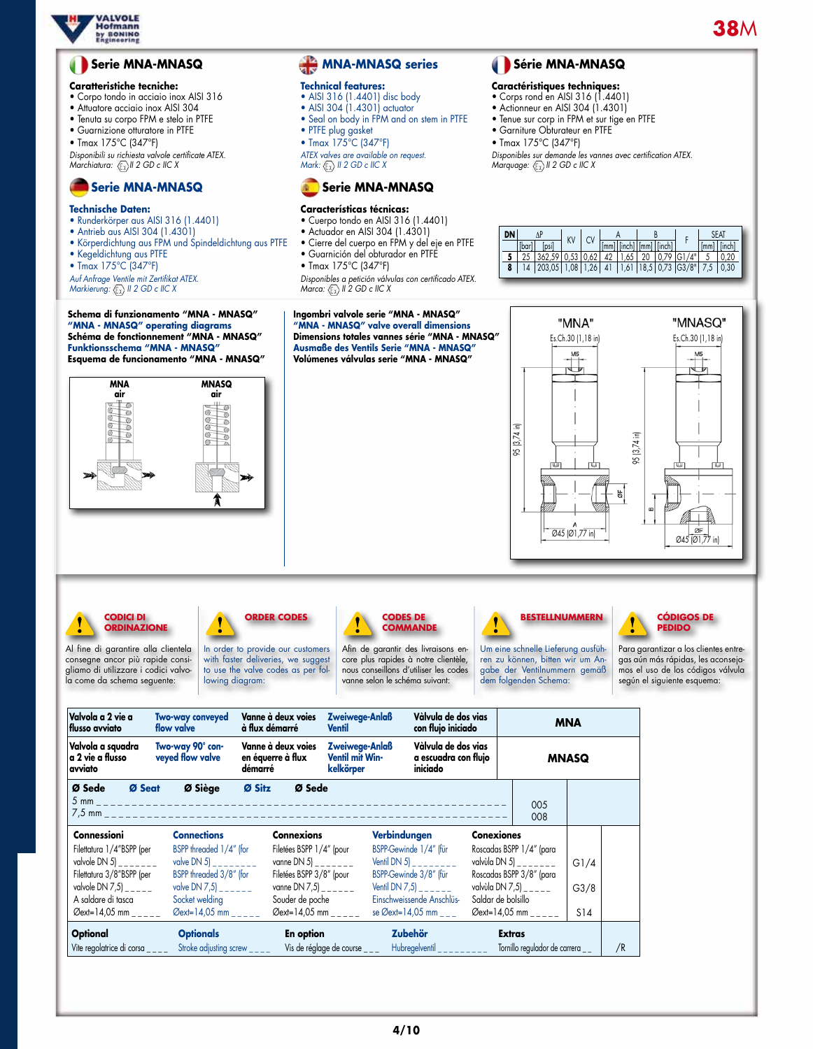

# **Serie MNA-MNASQ**

#### **Caratteristiche tecniche:**

- Corpo tondo in acciaio inox AISI 316
- Attuatore acciaio inox AISI 304
- Tenuta su corpo FPM e stelo in PTFE
- Guarnizione otturatore in PTFE
- Tmax 175°C (347°F)

*Disponibili su richiesta valvole certificate ATEX. Marchiatura: II 2 GD c IIC X*

# **Serie MNA-MNASQ**

### **Technische Daten:**

- • Runderkörper aus AISI 316 (1.4401)
- Antrieb aus AISI 304 (1.4301)
- Körperdichtung aus FPM und Spindeldichtung aus PTFE • Kegeldichtung aus PTFE
- Tmax 175°C (347°F)
- 

*Auf Anfrage Ventile mit Zertifikat ATEX. Markierung:*  $\langle \overline{\xi_x} \rangle$  *II 2 GD c IIC X* 





# **MNA-MNASQ series**

### **Technical features:**

- • AISI 316 (1.4401) disc body
- AISI 304 (1.4301) actuator • Seal on body in FPM and on stem in PTFE
- PTFE plug gasket
- Tmax 175°C (347°F)

*ATEX valves are available on request. Mark: II 2 GD c IIC X*



## **Características técnicas:**

- • Cuerpo tondo en AISI 316 (1.4401)
- Actuador en AISI 304 (1.4301)
- Cierre del cuerpo en FPM y del eje en PTFE • Guarnición del obturador en PTFE • Tmax 175°C (347°F)
- 

*Disponibles a petición válvulas con certificado ATEX. Marca:*  $\langle \overline{\xi_x} \rangle$  *II 2 GD c IIC X* 

**Ingombri valvole serie "MNA - MNASQ" "MNA - MNASQ" valve overall dimensions Dimensions totales vannes série "MNA - MNASQ" Ausmaße des Ventils Serie "MNA - MNASQ" Volúmenes válvulas serie "MNA - MNASQ"**

"MNA" "MNASQ" Es.Ch.30 (1,18 in)Es.Ch.30 (1,18 in) 95 (3,74 in) 95 (3,74 in) g.  $\overline{045}$   $\overline{01}$ ,77 in)  $\overline{1}$   $\overline{05}$   $\overline{01}$ ,77 in

## **CODICI DI ORDINAZIONE**

Al fine di garantire alla clientela consegne ancor più rapide consigliamo di utilizzare i codici valvola come da schema seguente:



to use the valve codes as per following diagram:



Afin de garantir des livraisons encore plus rapides à notre clientèle, nous conseillons d'utiliser les codes vanne selon le schéma suivant:



Um eine schnelle Lieferung ausführen zu können, bitten wir um Angabe der Ventilnummern gemäß dem folgenden Schema:

 **Série MNA-MNASQ Caractéristiques techniques:** • Corps rond en AISI 316 (1.4401) • Actionneur en AISI 304 (1.4301) • Tenue sur corp in FPM et sur tige en PTFE • Garniture Obturateur en PTFE • Tmax 175°C (347°F)

*Disponibles sur demande les vannes avec certification ATEX. Marquage: II 2 GD c IIC X*

 $\frac{\Delta P}{P_{\text{total}} + P_{\text{total}}}$  KV CV  $\frac{A}{P_{\text{total}} + P_{\text{total}} + P_{\text{total}}}$  F  $\frac{\text{Stal}}{\text{total}}$ 1 AP KV CV A B<br>
[bar] [psi] KV CV [mm] [inch] [mm] [inch] F [mm] [inch]<br>
25 362,59 0,53 0,62 42 1,65 20 0,79 G1/4" 5 0,20 **5** 25 362,59 0,53 0,62 42 1,65 20 0,79 G1/4" 5 0,20 **8** 14 203,05 1,08 1,26 41 1,61 18,5 0,73 G3/8" 7,5 0,30



Para garantizar a los clientes entregas aún más rápidas, les aconsejamos el uso de los códigos válvula según el siguiente esquema:

| Valvola a 2 vie a<br>flusso avviato                                                                                                                                                                     | <b>Two-way conveyed</b><br>flow valve                                                                                                                                                  | Vanne à deux voies<br>à flux démarré                                                                                                                                                      | Zweiwege-Anlaß<br><b>Ventil</b>                | Vàlvula de dos vias<br>con flujo iniciado<br>Vàlvula de dos vias<br>a escuadra con flujo<br>iniciado                                                 |                                                                                                                                                        | <b>MNA</b>                       |                            |    |
|---------------------------------------------------------------------------------------------------------------------------------------------------------------------------------------------------------|----------------------------------------------------------------------------------------------------------------------------------------------------------------------------------------|-------------------------------------------------------------------------------------------------------------------------------------------------------------------------------------------|------------------------------------------------|------------------------------------------------------------------------------------------------------------------------------------------------------|--------------------------------------------------------------------------------------------------------------------------------------------------------|----------------------------------|----------------------------|----|
| Valvola a squadra<br>a 2 vie a flusso<br>avviato                                                                                                                                                        | Two-way 90° con-<br>veyed flow valve                                                                                                                                                   | Vanne à deux voies<br>en équerre à flux<br>démarré                                                                                                                                        | Zweiwege-Anlaß<br>Ventil mit Win-<br>kelkörper |                                                                                                                                                      |                                                                                                                                                        | <b>MNASQ</b>                     |                            |    |
| Ø Sede<br>Ø Seat<br>$5 \text{ mm}$ _                                                                                                                                                                    | Ø Siège                                                                                                                                                                                | Ø Sitz<br>Ø Sede                                                                                                                                                                          |                                                |                                                                                                                                                      |                                                                                                                                                        | 005<br>008                       |                            |    |
| Connessioni<br>Filettatura 1/4"BSPP (per<br>valvole DN 5) $\frac{1}{2}$ $\frac{1}{2}$ $\frac{1}{2}$<br>Filettatura 3/8"BSPP (per<br>valvole DN 7,5)<br>A saldare di tasca<br>$\varnothing$ ext=14,05 mm | <b>Connections</b><br>BSPP threaded 1/4" (for<br>valve DN 5) _ _ _ _ _ _ _ _<br>BSPP threaded 3/8" (for<br>valve DN 7,5) $    -$<br>Socket welding<br>$\varnothing$ ext=14,05 mm _____ | <b>Connexions</b><br>Filetées BSPP 1/4" (pour<br>vanne DN 5) _ _ _ _ _ _ _<br>Filetées BSPP 3/8" (pour<br>vanne DN 7,5) $   -$<br>Souder de poche<br>$\varnothing$ ext=14,05 mm _ _ _ _ _ |                                                | Verbindungen<br>BSPP-Gewinde 1/4" (für<br>Ventil DN 5)<br>BSPP-Gewinde 3/8" (für<br>Ventil DN $7,5$<br>Einschweissende Anschlüs-<br>se Øext=14,05 mm | <b>Conexiones</b><br>Roscadas BSPP 1/4" (para<br>valvùla DN 5) _ _ _ _ _ _<br>Roscadas BSPP 3/8" (para<br>valvùla DN 7,5) $   -$<br>Saldar de bolsillo | $\varnothing$ ext=14,05 mm _____ | G1/4<br>G3/8<br><b>S14</b> |    |
| <b>Optional</b><br>Vite regolatrice di corsa                                                                                                                                                            | <b>Optionals</b><br>Stroke adjusting screw $\frac{1}{2}$                                                                                                                               | <b>En option</b>                                                                                                                                                                          | Vis de réglage de course $\frac{1}{2}$         | <b>Zubehör</b><br>Hubregelventil _________                                                                                                           | <b>Extras</b>                                                                                                                                          | Tornillo regulador de carrera    |                            | /R |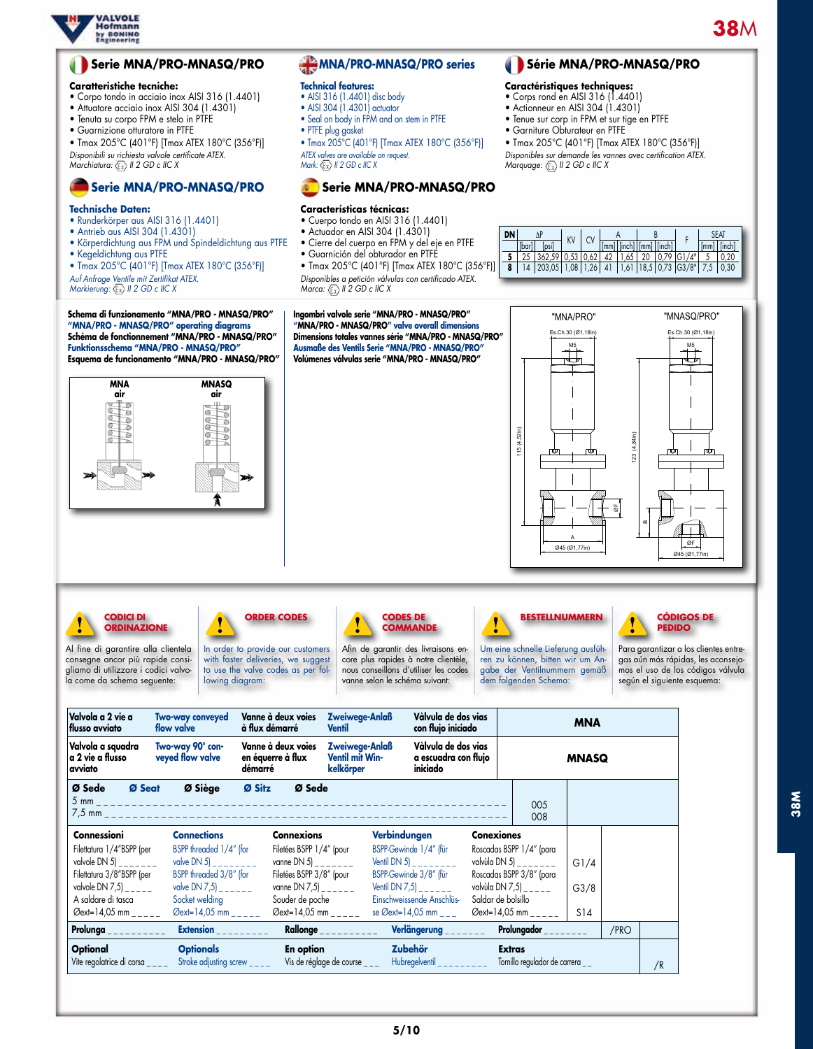

# **Serie MNA/PRO-MNASQ/PRO**

### **Caratteristiche tecniche:**

- Corpo tondo in acciaio inox AISI 316 (1.4401)
- Attuatore acciaio inox AISI 304 (1.4301)
- Tenuta su corpo FPM e stelo in PTFE
- Guarnizione otturatore in PTFE

• Tmax 205°C (401°F) [Tmax ATEX 180°C (356°F)] *Disponibili su richiesta valvole certificate ATEX. Marchiatura: II 2 GD c IIC X*

# **Serie MNA/PRO-MNASQ/PRO**

### **Technische Daten:**

- • Runderkörper aus AISI 316 (1.4401)
- Antrieb aus AISI 304 (1.4301)
- Körperdichtung aus FPM und Spindeldichtung aus PTFE
- Kegeldichtung aus PTFE
- Tmax 205°C (401°F) [Tmax ATEX 180°C (356°F)]

*Auf Anfrage Ventile mit Zertifikat ATEX.*

*Markierung:*  $\mathbb{Q}$  *II 2 GD c IIC X* 

**Schema di funzionamento "MNA/PRO - MNASQ/PRO" "MNA/PRO - MNASQ/PRO" operating diagrams Schéma de fonctionnement "MNA/PRO - MNASQ/PRO" Funktionsschema "MNA/PRO - MNASQ/PRO" Esquema de funcionamento "MNA/PRO - MNASQ/PRO"**



# **MNA/PRO-MNASQ/PRO series**

#### **Technical features:**

- • AISI 316 (1.4401) disc body
- AISI 304 (1.4301) actuator • Seal on body in FPM and on stem in PTFE
- PTFE plug gasket
- 

• Tmax 205°C (401°F) [Tmax ATEX 180°C (356°F)] *ATEX valves are available on request. Mark: II 2 GD c IIC X*

## **Serie MNA/PRO-MNASQ/PRO**

#### **Características técnicas:**

- • Cuerpo tondo en AISI 316 (1.4401)
- Actuador en AISI 304 (1.4301)
- Cierre del cuerpo en FPM y del eje en PTFE • Guarnición del obturador en PTFE
- Tmax 205°C (401°F) [Tmax ATEX 180°C (356°F)] *Disponibles a petición válvulas con certificado ATEX.*

*Marca:*  $\langle \overline{\xi_x} \rangle$  *II 2 GD c IIC X* **Ingombri valvole serie "MNA/PRO - MNASQ/PRO" "MNA/PRO - MNASQ/PRO" valve overall dimensions**

 $\frac{\Delta P}{P_{\text{total}} + P_{\text{total}}}$  KV CV  $\frac{A}{P_{\text{total}} + P_{\text{total}} + P_{\text{total}}}$  F  $\frac{\text{Stal}}{\text{total}}$ [bar] [psi] [mm] [inch] [mm] [inch] [mm] [inch] **5** 25 362,59 0,53 0,62 42 1,65 20 0,79 G1/4" 5 0,20 **8** 14 203,05 1,08 1,26 41 1,61 18,5 0,73 G3/8" 7,5 0,30

 **Série MNA/PRO-MNASQ/PRO**

• Tmax 205°C (401°F) [Tmax ATEX 180°C (356°F)] *Disponibles sur demande les vannes avec certification ATEX. Marquage: II 2 GD c IIC X*

**Caractéristiques techniques:** • Corps rond en AISI 316 (1.4401) • Actionneur en AISI 304 (1.4301) • Tenue sur corp in FPM et sur tige en PTFE • Garniture Obturateur en PTFE



**CODICI DI ORDINAZIONE**

Al fine di garantire alla clientela consegne ancor più rapide consigliamo di utilizzare i codici valvola come da schema seguente:

**ORDER CODES**

In order to provide our customers with faster deliveries, we suggest to use the valve codes as per following diagram:

#### **CODES DE COMMANDE**

Afin de garantir des livraisons encore plus rapides à notre clientèle, nous conseillons d'utiliser les codes vanne selon le schéma suivant:



Um eine schnelle Lieferung ausführen zu können, bitten wir um Angabe der Ventilnummern gemäß dem folgenden Schema:



Para garantizar a los clientes entregas aún más rápidas, les aconsejamos el uso de los códigos válvula según el siguiente esquema:

| Valvola a 2 vie a<br>Hlusso avviato                                                                                                                                                                                                | <b>Two-way conveyed</b><br>flow valve                                                                                          | Vanne à deux voies<br>à flux démarré                                                                                                              | Zweiwege-Anlaß<br><b>Ventil</b>                | Vàlvula de dos vias<br>con flujo iniciado                                                                                 |                    | <b>MNA</b>                                                                                                           |              |      |    |
|------------------------------------------------------------------------------------------------------------------------------------------------------------------------------------------------------------------------------------|--------------------------------------------------------------------------------------------------------------------------------|---------------------------------------------------------------------------------------------------------------------------------------------------|------------------------------------------------|---------------------------------------------------------------------------------------------------------------------------|--------------------|----------------------------------------------------------------------------------------------------------------------|--------------|------|----|
| Valvola a squadra<br>a 2 vie a flusso<br>avviato                                                                                                                                                                                   | Two-way 90° con-<br>veyed flow valve                                                                                           | Vanne à deux voies<br>en équerre à flux<br>démarré                                                                                                | Zweiwege-Anlaß<br>Ventil mit Win-<br>kelkörper | Vàlvula de dos vias<br>a escuadra con flujo<br>iniciado                                                                   |                    | <b>MNASQ</b>                                                                                                         |              |      |    |
| Ø Sede<br>Ø Seat                                                                                                                                                                                                                   | Ø Siège                                                                                                                        | Ø Sitz<br>Ø Sede                                                                                                                                  |                                                |                                                                                                                           |                    | 005<br>008                                                                                                           |              |      |    |
| <b>Connessioni</b>                                                                                                                                                                                                                 | <b>Connections</b>                                                                                                             | <b>Connexions</b>                                                                                                                                 |                                                | Verbindungen                                                                                                              | <b>Conexiones</b>  |                                                                                                                      |              |      |    |
| Filettatura 1/4"BSPP (per<br>valvole DN 5) _ _ _ _ _ _ _<br>Filettatura 3/8"BSPP (per<br>valvole DN 7,5) $\frac{1}{2}$<br>A saldare di tasca                                                                                       | BSPP threaded 1/4" (for<br>valve DN 5) _ _ _ _ _ _ _<br>BSPP threaded 3/8" (for<br>valve DN 7,5) _ _ _ _ _ _<br>Socket welding | Filetées BSPP 1/4" (pour<br>vanne DN 5) _ _ _ _ _ _ _<br>Filetées BSPP 3/8" (pour<br>vanne DN 7,5) $\frac{1}{2}$ $\frac{1}{2}$<br>Souder de poche |                                                | BSPP-Gewinde 1/4" (für<br>Ventil DN 5) ________<br>BSPP-Gewinde 3/8" (für<br>Ventil DN $7,5$<br>Einschweissende Anschlüs- | Saldar de bolsillo | Roscadas BSPP 1/4" (para<br>valvùla DN 5) _ _ _ _ _ _ _<br>Roscadas BSPP 3/8" (para<br>valvùla DN 7,5) $\frac{1}{2}$ | G1/4<br>G3/8 |      |    |
| $\varnothing$ ext=14,05 mm _ _ _ _ _                                                                                                                                                                                               | $\varnothing$ ext=14,05 mm _ _ _ _ _                                                                                           | $\varnothing$ ext=14,05 mm _____                                                                                                                  |                                                | se Øext=14,05 mm $\_$ $\_$                                                                                                |                    | $\varnothing$ ext=14,05 mm _ _ _ _ _                                                                                 | S14          |      |    |
| <b>Prolunga</b> and the control of the control of the control of the control of the control of the control of the control of the control of the control of the control of the control of the control of the control of the control | Extension                                                                                                                      |                                                                                                                                                   | Rallonge __________                            | Verlängerung                                                                                                              |                    | Prolungador ________                                                                                                 |              | /PRO |    |
| <b>Optional</b><br>Vite regolatrice di corsa $\frac{1}{2}$                                                                                                                                                                         | <b>Optionals</b><br>Stroke adjusting screw $\frac{1}{2}$                                                                       | <b>En option</b>                                                                                                                                  | Vis de réglage de course $\frac{1}{2}$         | <b>Zubehör</b><br>$Hubregelventil$ ________                                                                               |                    | <b>Extras</b><br>Tornillo regulador de carrera _ _                                                                   |              |      | /R |

**Dimensions totales vannes série "MNA/PRO - MNASQ/PRO" Ausmaße des Ventils Serie "MNA/PRO - MNASQ/PRO" Volúmenes válvulas serie "MNA/PRO - MNASQ/PRO"**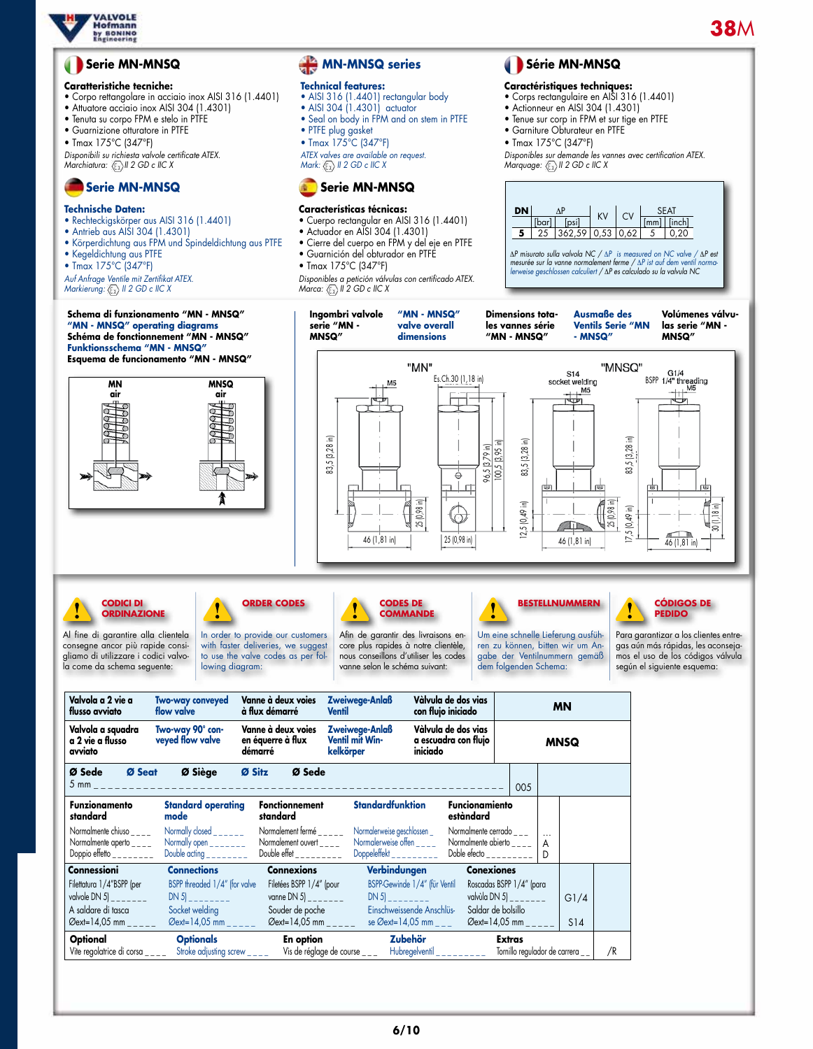

# **Serie MN-MNSQ**

#### **Caratteristiche tecniche:**

- Corpo rettangolare in acciaio inox AISI 316 (1.4401)
- Attuatore acciaio inox AISI 304 (1.4301)
- Tenuta su corpo FPM e stelo in PTFE
- Guarnizione otturatore in PTFE
- Tmax 175°C (347°F)

*Disponibili su richiesta valvole certificate ATEX. Marchiatura: II 2 GD c IIC X*

# **Serie MN-MNSQ**

## **Technische Daten:**

- • Rechteckigskörper aus AISI 316 (1.4401)
- Antrieb aus AISI 304 (1.4301)
- Körperdichtung aus FPM und Spindeldichtung aus PTFE
- Kegeldichtung aus PTFE
- Tmax 175°C (347°F)

*Auf Anfrage Ventile mit Zertifikat ATEX. Markierung:*  $\left(\frac{F}{K}\right)$  *II 2 GD c IIC X* 

#### **Schema di fu "MN - MNSQ" operating diagrams Schéma de fonction Funktionssch Esquema de**

# **MN-MNSQ series**

#### **Technical features:**

- • AISI 316 (1.4401) rectangular body
- AISI 304 (1.4301) actuator
- Seal on body in FPM and on stem in PTFE • PTFE plug gasket
- 
- Tmax 175°C (347°F)

*ATEX valves are available on request. Mark: II 2 GD c IIC X*



### **Características técnicas:**

- • Cuerpo rectangular en AISI 316 (1.4401)
- Actuador en AISI 304 (1.4301)
- Cierre del cuerpo en FPM y del eje en PTFE
- Guarnición del obturador en PTFE
- Tmax 175°C (347°F)

*Disponibles a petición válvulas con certificado ATEX. Marca:*  $\langle \overline{\xi_x} \rangle$  *II 2 GD c IIC X* 

# **Série MN-MNSQ**

### **Caractéristiques techniques:**

- • Corps rectangulaire en AISI 316 (1.4401)
- Actionneur en AISI 304 (1.4301)
- Tenue sur corp in FPM et sur tige en PTFE
- Garniture Obturateur en PTFE
- Tmax 175°C (347°F)

*Disponibles sur demande les vannes avec certification ATEX. Marquage: II 2 GD c IIC X*



∆*P misurato sulla valvola NC /* ∆*P is measured on NC valve /* ∆*P est mesurée sur la vanne normalement ferme /* ∆*P ist auf dem ventil normalerweise geschlossen calculiert /* ∆*P es calculado su la valvula NC*

| Schema di funzionamento "MN - MNSQ"<br>"MN - MNSQ" operating diagrams<br>Schéma de fonctionnement "MN - MNSQ"<br><b>Funktionsschema "MN - MNSQ"</b>                                                                                                                                                                                                | Ingombri valvole<br>serie "MN -<br><b>MNSQ"</b>                                                    | "MN - MNSQ"<br>valve overall<br>dimensions                                                                                                                                                   | <b>Dimensions tota-</b><br>les vannes série<br>"MN - MNSQ"                                                                                               | <b>Ausmaße des</b><br><b>Ventils Serie "MN</b><br>- MNSQ"                                                                               | Volúmenes válvu-<br>las serie "MN -<br><b>MNSQ"</b>                                                                                                                                   |
|----------------------------------------------------------------------------------------------------------------------------------------------------------------------------------------------------------------------------------------------------------------------------------------------------------------------------------------------------|----------------------------------------------------------------------------------------------------|----------------------------------------------------------------------------------------------------------------------------------------------------------------------------------------------|----------------------------------------------------------------------------------------------------------------------------------------------------------|-----------------------------------------------------------------------------------------------------------------------------------------|---------------------------------------------------------------------------------------------------------------------------------------------------------------------------------------|
| Esquema de funcionamento "MN - MNSQ"<br><b>MNSQ</b><br>ΜN<br>air<br>air<br><b>RAARA</b><br>⊃<br>D<br>D<br>J                                                                                                                                                                                                                                        | Ξ<br>83,5 [3,28 i<br>46 (1,81 in)                                                                  | "MN"<br>Es.Ch.30 (1,18 in)<br>25 (0,98 in)<br>25 (0,98 in)                                                                                                                                   | 83,5 [3,28 in]<br>$\frac{96,5 [3,79 in]}{100,5 [3,95 in]}$<br>$[0,49$ in<br>5<br>2.                                                                      | "MNSQ"<br>S14<br>socket welding<br>M5<br>83,5 [3,28 in]<br>25 (0,98 in)<br>$(10, 49, 0)$ 5,<br>$\overline{\phantom{0}}$<br>46 (1,81 in) | G1/4<br>BSPP 1/4" threading<br>$+11$ $M5$<br>30 (1,18 in)<br>46 (1,81 in)                                                                                                             |
| <b>CODICI DI</b><br><b>ORDER CODES</b><br><b>ORDINAZIONE</b><br>In order to provide our customers<br>Al fine di garantire alla clientela<br>consegne ancor più rapide consi-<br>with faster deliveries, we suggest<br>gliamo di utilizzare i codici valvo-<br>to use the valve codes as per fol-<br>la come da schema seguente:<br>lowing diagram: |                                                                                                    | <b>CODES DE</b><br><b>COMMANDE</b><br>Afin de garantir des livraisons en-<br>core plus rapides à notre clientèle,<br>nous conseillons d'utiliser les codes<br>vanne selon le schéma suivant: | <b>BESTELLNUMMERN</b><br>Um eine schnelle Lieferung ausfüh-<br>ren zu können, bitten wir um An-<br>gabe der Ventilnummern gemäß<br>dem folgenden Schema: |                                                                                                                                         | <b>CÓDIGOS DE</b><br><b>PEDIDO</b><br>Para garantizar a los clientes entre-<br>gas aún más rápidas, les aconseja-<br>mos el uso de los códigos válvula<br>según el siguiente esquema: |
| Valvola a 2 vie a<br>Vanne à deux voies<br><b>Two-way conveyed</b><br>flow valve<br>à flux démarré<br>flusso avviato<br>Two-way 90° con-<br>Vanne à deux voies<br>Valvola a squadra<br>a 2 vie a flusso<br>veyed flow valve<br>en équerre à flux                                                                                                   | Zweiwege-Anlaß<br><b>Ventil</b><br>Zweiwege-Anlaß<br>Ventil mit Win-                               | Vàlvula de dos vias<br>con flujo iniciado<br>Vàlvula de dos vias<br>a escuadra con flujo                                                                                                     | <b>MN</b><br><b>MNSQ</b>                                                                                                                                 |                                                                                                                                         |                                                                                                                                                                                       |
| avviato<br>démarré<br>Ø Seat<br>Ø Siège<br>Ø Sitz<br>Ø Sede<br>$5 \text{ mm}$<br><b>Funzionamento</b><br><b>Standard operating</b><br><b>Fonctionnement</b>                                                                                                                                                                                        | kelkörper<br>Ø Sede                                                                                | iniciado<br><b>Standardfunktion</b>                                                                                                                                                          | 005<br><b>Funcionamiento</b>                                                                                                                             |                                                                                                                                         |                                                                                                                                                                                       |
| standard<br>mode<br>standard<br>Normalmente chiuso $\overline{\phantom{a}}$<br>Normally closed $\frac{1}{2}$<br>Normally open $\frac{1}{2}$<br>Normalmente aperto $_{---}$<br>Double acting ________<br>Doppio effetto ________                                                                                                                    | Normalement fermé _____<br>Normalement ouvert $_{---}$<br>Double effet _________                   | estàndard<br>Normalerweise geschlossen _<br>Normalerweise offen $\frac{1}{2}$<br>Doppeleffekt                                                                                                | Normalmente cerrado ___<br>$\cdots$<br>Normalmente abierto $\overline{\phantom{a}}$<br>A<br>Doble efecto _________<br>D                                  |                                                                                                                                         |                                                                                                                                                                                       |
| <b>Connections</b><br><b>Connexions</b><br>Connessioni<br>BSPP threaded 1/4" (for valve<br>Filettatura 1/4"BSPP (per<br>valvole DN 5) $    -$<br>$DN 5$ $_{-}$<br>Socket welding<br>A saldare di tasca<br>Souder de poche<br>Øext=14,05 mm _____<br>$\emptyset$ ext=14,05 mm _____                                                                 | Filetées BSPP 1/4" (pour<br>vanne DN 5 $\vert$ _______<br>DN 5<br>$\varnothing$ ext=14,05 mm _____ | Verbindungen<br>BSPP-Gewinde 1/4" (für Ventil<br>Einschweissende Anschlüs-<br>se Øext=14,05 mm _ _ _                                                                                         | <b>Conexiones</b><br>Roscadas BSPP 1/4" (para<br>valvùla DN 5)_<br>$- - - - -$<br>Saldar de bolsillo<br>Øext=14,05 mm ____                               | G1/4<br><b>S14</b>                                                                                                                      |                                                                                                                                                                                       |
| <b>Optionals</b><br>Optional<br>Vite regolatrice di corsa____<br>Stroke adjusting screw ____                                                                                                                                                                                                                                                       | En option<br>Vis de réglage de course ___                                                          | Zubehör<br>Hubregelventil $\frac{1}{2}$                                                                                                                                                      | <b>Extras</b><br>Tornillo regulador de carrera _                                                                                                         | /R                                                                                                                                      |                                                                                                                                                                                       |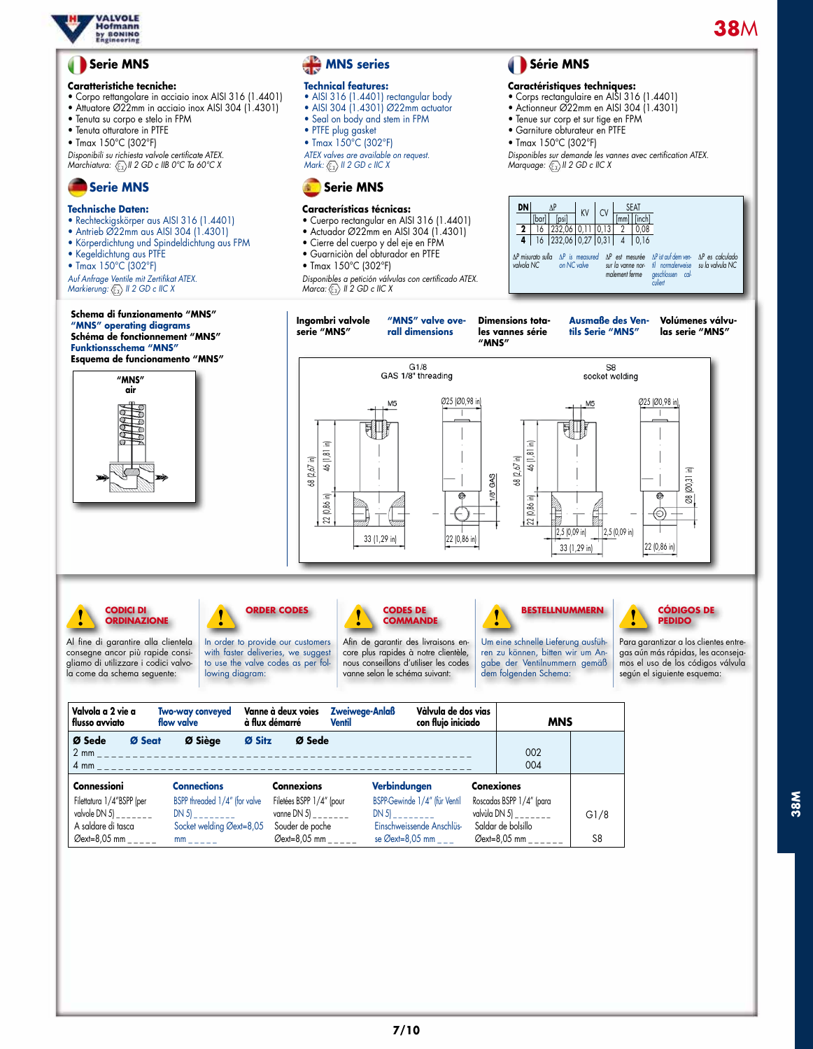

**38M**

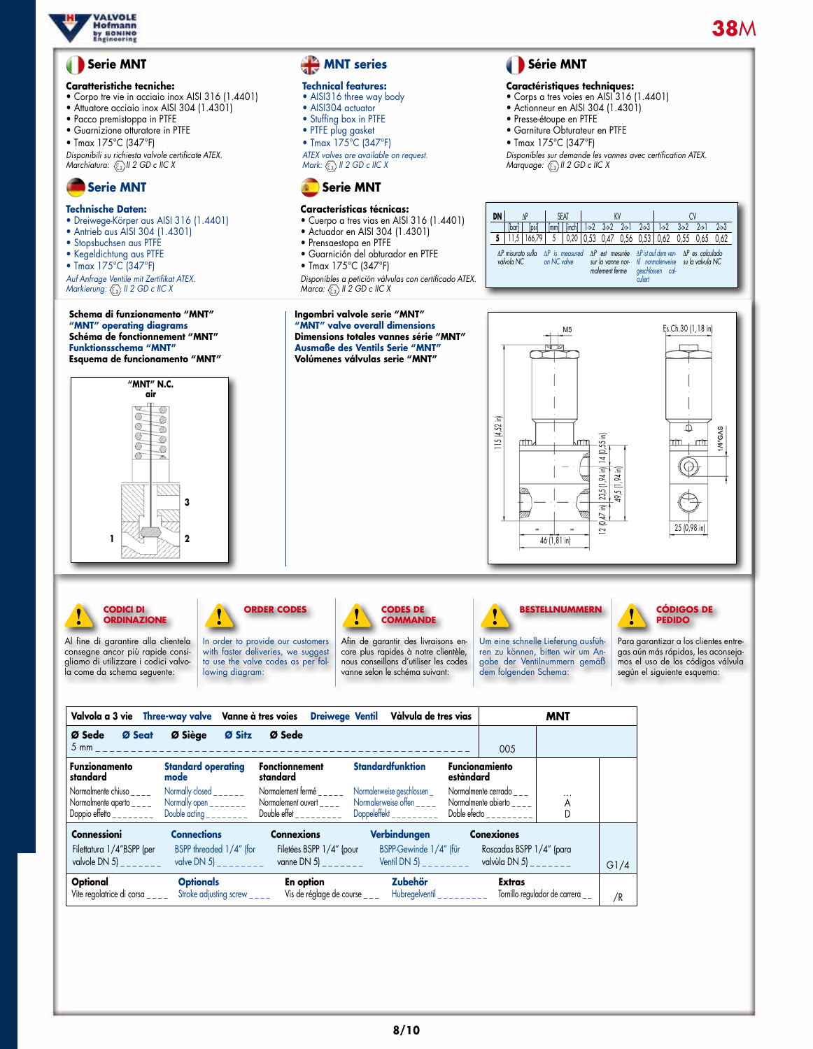